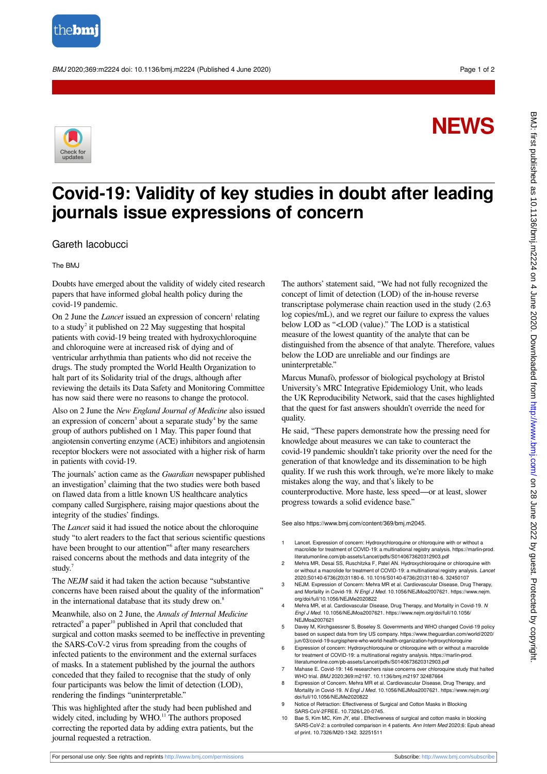

BMJ 2020;369:m2224 doi: 10.1136/bmj.m2224 (Published 4 June 2020) Page 1 of 2

## **NEWS**



## **Covid-19: Validity of key studies in doubt after leading journals issue expressions of concern**

## Gareth Iacobucci

The BMJ

Doubts have emerged about the validity of widely cited research papers that have informed global health policy during the covid-19 pandemic.

On 2 June the *Lancet* issued an expression of concern<sup>1</sup> relating to a study<sup>2</sup> it published on 22 May suggesting that hospital patients with covid-19 being treated with hydroxychloroquine and chloroquine were at increased risk of dying and of ventricular arrhythmia than patients who did not receive the drugs. The study prompted the World Health Organization to halt part of its Solidarity trial of the drugs, although after reviewing the details its Data Safety and Monitoring Committee has now said there were no reasons to change the protocol.

Also on 2 June the *New England Journal of Medicine* also issued an expression of concern<sup>3</sup> about a separate study<sup>4</sup> by the same group of authors published on 1 May. This paper found that angiotensin converting enzyme (ACE) inhibitors and angiotensin receptor blockers were not associated with a higher risk of harm in patients with covid-19.

The journals' action came as the *Guardian* newspaper published an investigation<sup>5</sup> claiming that the two studies were both based on flawed data from a little known US healthcare analytics company called Surgisphere, raising major questions about the integrity of the studies' findings.

The *Lancet* said it had issued the notice about the chloroquine study "to alert readers to the fact that serious scientific questions have been brought to our attention"<sup>6</sup> after many researchers raised concerns about the methods and data integrity of the study.

The *NEJM* said it had taken the action because "substantive concerns have been raised about the quality of the information" in the international database that its study drew on.<sup>8</sup>

Meanwhile, also on 2 June, the *Annals of Internal Medicine* retracted<sup>9</sup> a paper<sup>10</sup> published in April that concluded that surgical and cotton masks seemed to be ineffective in preventing the SARS-CoV-2 virus from spreading from the coughs of infected patients to the environment and the external surfaces of masks. In a statement published by the journal the authors conceded that they failed to recognise that the study of only four participants was below the limit of detection (LOD), rendering the findings "uninterpretable."

This was highlighted after the study had been published and widely cited, including by WHO.<sup>11</sup> The authors proposed correcting the reported data by adding extra patients, but the journal requested a retraction.

The authors' statement said, "We had not fully recognized the concept of limit of detection (LOD) of the in-house reverse transcriptase polymerase chain reaction used in the study (2.63 log copies/mL), and we regret our failure to express the values below LOD as "<LOD (value)." The LOD is a statistical measure of the lowest quantity of the analyte that can be distinguished from the absence of that analyte. Therefore, values below the LOD are unreliable and our findings are uninterpretable."

Marcus Munafò, professor of biological psychology at Bristol University's MRC Integrative Epidemiology Unit, who leads the UK Reproducibility Network, said that the cases highlighted that the quest for fast answers shouldn't override the need for quality.

He said, "These papers demonstrate how the pressing need for knowledge about measures we can take to counteract the covid-19 pandemic shouldn't take priority over the need for the generation of that knowledge and its dissemination to be high quality. If we rush this work through, we're more likely to make mistakes along the way, and that's likely to be counterproductive. More haste, less speed—or at least, slower progress towards a solid evidence base."

See also https://www.bmj.com/content/369/bmj.m2045.

- 1 Lancet. Expression of concern: Hydroxychloroquine or chloroquine with or without a macrolide for treatment of COVID-19: a multinational registry analysis. https://marlin-prod. literatumonline.com/pb-assets/Lancet/pdfs/S0140673620312903.pdf
- 2 Mehra MR, Desai SS, Ruschitzka F, Patel AN. Hydroxychloroquine or chloroquine with or without a macrolide for treatment of COVID-19: a multinational registry analysis. Lancet 2020;S0140-6736(20)31180-6. 10.1016/S0140-6736(20)31180-6. 32450107
- 3 NEJM. Expression of Concern: Mehra MR et al. Cardiovascular Disease, Drug Therapy, and Mortality in Covid-19. N Engl J Med. 10.1056/NEJMoa2007621. https://www.nejm. org/doi/full/10.1056/NEJMe2020822
- 4 Mehra MR, et al. Cardiovascular Disease, Drug Therapy, and Mortality in Covid-19. N Engl J Med. 10.1056/NEJMoa2007621. https://www.nejm.org/doi/full/10.1056/ NEJMoa2007621
- 5 Davey M, Kirchgaessner S, Boseley S. Governments and WHO changed Covid-19 policy based on suspect data from tiny US company. https://www.theguardian.com/world/2020 jun/03/covid-19-surgisphere-who-world-health-organization-hydroxychloroquine
- 6 Expression of concern: Hydroxychloroquine or chloroquine with or without a macrolide for treatment of COVID-19: a multinational registry analysis. https://marlin-prod. literatumonline.com/pb-assets/Lancet/pdfs/S0140673620312903.pdf
- 7 Mahase E. Covid-19: 146 researchers raise concerns over chloroquine study that halted WHO trial. BMJ 2020;369:m2197. 10.1136/bmj.m2197 32487664
- 8 Expression of Concern. Mehra MR et al. Cardiovascular Disease, Drug Therapy, and Mortality in Covid-19. N Engl J Med. 10.1056/NEJMoa2007621. https://www.nejm.org/ doi/full/10.1056/NEJMe2020822
- 9 Notice of Retraction: Effectiveness of Surgical and Cotton Masks in Blocking SARS-CoV-2FREE. 10.7326/L20-0745.
- 10 Bae S, Kim MC, Kim JY, etal . Effectiveness of surgical and cotton masks in blocking SARS-CoV-2: a controlled comparison in 4 patients. Ann Intern Med 2020;6: Epub ahead of print. 10.7326/M20-1342. 32251511